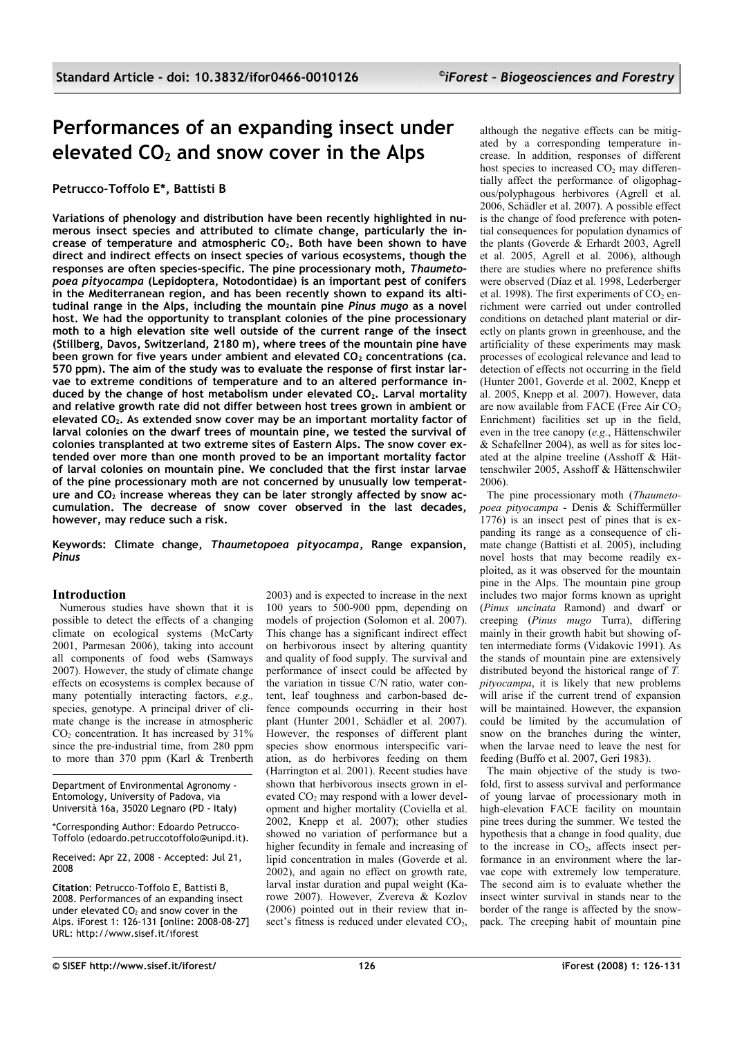# **Performances of an expanding insect under elevated CO2 and snow cover in the Alps**

# **Petrucco-Toffolo E\*, Battisti B**

**Variations of phenology and distribution have been recently highlighted in numerous insect species and attributed to climate change, particularly the increase of temperature and atmospheric CO2. Both have been shown to have direct and indirect effects on insect species of various ecosystems, though the responses are often species-specific. The pine processionary moth,** *Thaumetopoea pityocampa* **(Lepidoptera, Notodontidae) is an important pest of conifers in the Mediterranean region, and has been recently shown to expand its altitudinal range in the Alps, including the mountain pine** *Pinus mugo* **as a novel host. We had the opportunity to transplant colonies of the pine processionary moth to a high elevation site well outside of the current range of the insect (Stillberg, Davos, Switzerland, 2180 m), where trees of the mountain pine have been grown for five years under ambient and elevated CO2 concentrations (ca. 570 ppm). The aim of the study was to evaluate the response of first instar larvae to extreme conditions of temperature and to an altered performance induced by the change of host metabolism under elevated CO2. Larval mortality and relative growth rate did not differ between host trees grown in ambient or elevated CO2. As extended snow cover may be an important mortality factor of larval colonies on the dwarf trees of mountain pine, we tested the survival of colonies transplanted at two extreme sites of Eastern Alps. The snow cover extended over more than one month proved to be an important mortality factor of larval colonies on mountain pine. We concluded that the first instar larvae of the pine processionary moth are not concerned by unusually low temperature and CO2 increase whereas they can be later strongly affected by snow accumulation. The decrease of snow cover observed in the last decades, however, may reduce such a risk.**

**Keywords: Climate change,** *Thaumetopoea pityocampa***, Range expansion,** *Pinus*

## **Introduction**

Numerous studies have shown that it is possible to detect the effects of a changing climate on ecological systems (McCarty 2001, Parmesan 2006), taking into account all components of food webs (Samways 2007). However, the study of climate change effects on ecosystems is complex because of many potentially interacting factors, *e.g.,* species, genotype. A principal driver of climate change is the increase in atmospheric  $CO<sub>2</sub>$  concentration. It has increased by 31% since the pre-industrial time, from 280 ppm to more than 370 ppm (Karl & Trenberth

Department of Environmental Agronomy - Entomology, University of Padova, via Università 16a, 35020 Legnaro (PD - Italy)

\*Corresponding Author: Edoardo Petrucco-Toffolo (edoardo.petruccotoffolo@unipd.it).

Received: Apr 22, 2008 - Accepted: Jul 21, 2008

**Citation**: Petrucco-Toffolo E, Battisti B, 2008. Performances of an expanding insect under elevated  $CO<sub>2</sub>$  and snow cover in the Alps. iForest 1: 126-131 [online: 2008-08-27] URL: http://www.sisef.it/iforest

2003) and is expected to increase in the next 100 years to 500-900 ppm, depending on models of projection (Solomon et al. 2007). This change has a significant indirect effect on herbivorous insect by altering quantity and quality of food supply. The survival and performance of insect could be affected by the variation in tissue C/N ratio, water content, leaf toughness and carbon-based defence compounds occurring in their host plant (Hunter 2001, Schädler et al. 2007). However, the responses of different plant species show enormous interspecific variation, as do herbivores feeding on them (Harrington et al. 2001). Recent studies have shown that herbivorous insects grown in elevated  $CO<sub>2</sub>$  may respond with a lower development and higher mortality (Coviella et al. 2002, Knepp et al. 2007); other studies showed no variation of performance but a higher fecundity in female and increasing of lipid concentration in males (Goverde et al. 2002), and again no effect on growth rate, larval instar duration and pupal weight (Karowe 2007). However, Zvereva & Kozlov (2006) pointed out in their review that insect's fitness is reduced under elevated CO<sub>2</sub>,

although the negative effects can be mitigated by a corresponding temperature increase. In addition, responses of different host species to increased  $CO<sub>2</sub>$  may differentially affect the performance of oligophagous/polyphagous herbivores (Agrell et al. 2006, Schädler et al. 2007). A possible effect is the change of food preference with potential consequences for population dynamics of the plants (Goverde  $\&$  Erhardt 2003, Agrell et al. 2005, Agrell et al. 2006), although there are studies where no preference shifts were observed (Díaz et al. 1998, Lederberger et al. 1998). The first experiments of  $CO<sub>2</sub>$  enrichment were carried out under controlled conditions on detached plant material or directly on plants grown in greenhouse, and the artificiality of these experiments may mask processes of ecological relevance and lead to detection of effects not occurring in the field (Hunter 2001, Goverde et al. 2002, Knepp et al. 2005, Knepp et al. 2007). However, data are now available from FACE (Free Air  $CO<sub>2</sub>$ ) Enrichment) facilities set up in the field, even in the tree canopy (*e.g.*, Hättenschwiler & Schafellner 2004), as well as for sites located at the alpine treeline (Asshoff & Hättenschwiler 2005, Asshoff & Hättenschwiler 2006).

The pine processionary moth (*Thaumetopoea pityocampa* - Denis & Schiffermüller 1776) is an insect pest of pines that is expanding its range as a consequence of climate change (Battisti et al. 2005), including novel hosts that may become readily exploited, as it was observed for the mountain pine in the Alps. The mountain pine group includes two major forms known as upright (*Pinus uncinata* Ramond) and dwarf or creeping (*Pinus mugo* Turra), differing mainly in their growth habit but showing often intermediate forms (Vidakovic 1991). As the stands of mountain pine are extensively distributed beyond the historical range of *T. pityocampa*, it is likely that new problems will arise if the current trend of expansion will be maintained. However, the expansion could be limited by the accumulation of snow on the branches during the winter, when the larvae need to leave the nest for feeding (Buffo et al. 2007, Geri 1983).

The main objective of the study is twofold, first to assess survival and performance of young larvae of processionary moth in high-elevation FACE facility on mountain pine trees during the summer. We tested the hypothesis that a change in food quality, due to the increase in  $CO<sub>2</sub>$ , affects insect performance in an environment where the larvae cope with extremely low temperature. The second aim is to evaluate whether the insect winter survival in stands near to the border of the range is affected by the snowpack. The creeping habit of mountain pine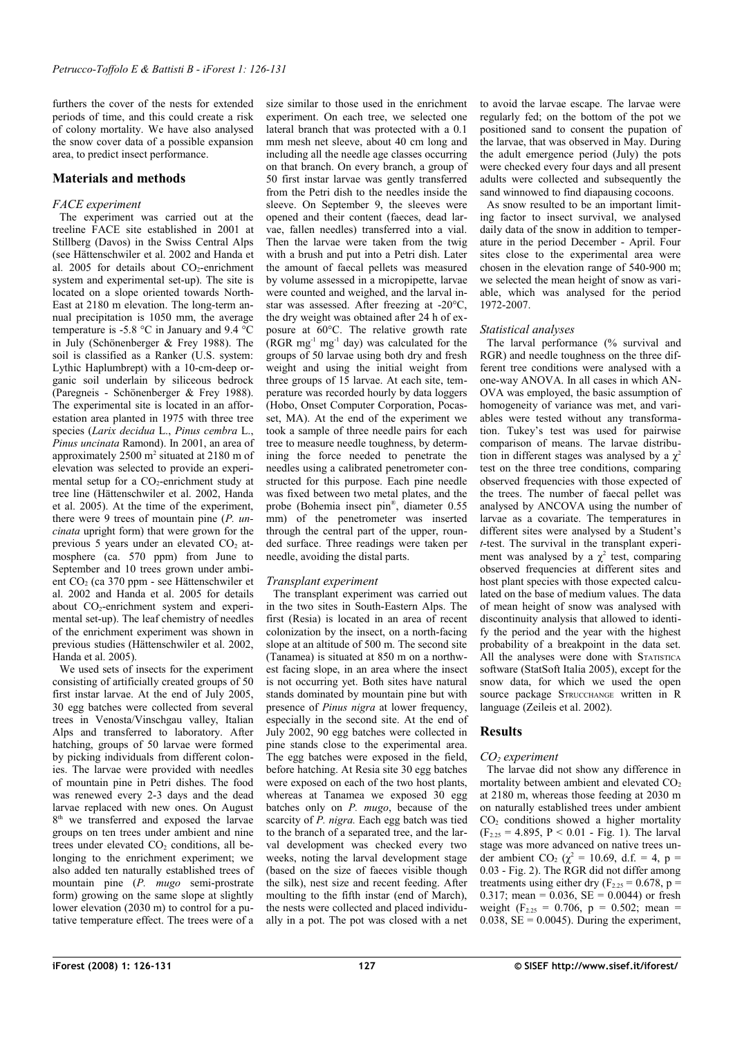furthers the cover of the nests for extended periods of time, and this could create a risk of colony mortality. We have also analysed the snow cover data of a possible expansion area, to predict insect performance.

# **Materials and methods**

#### *FACE experiment*

The experiment was carried out at the treeline FACE site established in 2001 at Stillberg (Davos) in the Swiss Central Alps (see Hättenschwiler et al. 2002 and Handa et al. 2005 for details about  $CO<sub>2</sub>$ -enrichment system and experimental set-up). The site is located on a slope oriented towards North-East at 2180 m elevation. The long-term annual precipitation is 1050 mm, the average temperature is -5.8 °C in January and 9.4 °C in July (Schönenberger & Frey 1988). The soil is classified as a Ranker (U.S. system: Lythic Haplumbrept) with a 10-cm-deep organic soil underlain by siliceous bedrock (Paregneis - Schönenberger & Frey 1988). The experimental site is located in an afforestation area planted in 1975 with three tree species (*Larix decidua* L., *Pinus cembra* L., *Pinus uncinata* Ramond). In 2001, an area of approximately 2500 m<sup>2</sup> situated at 2180 m of elevation was selected to provide an experimental setup for a  $CO<sub>2</sub>$ -enrichment study at tree line (Hättenschwiler et al. 2002, Handa et al. 2005). At the time of the experiment, there were 9 trees of mountain pine (*P. uncinata* upright form) that were grown for the previous 5 years under an elevated  $CO<sub>2</sub>$  atmosphere (ca. 570 ppm) from June to September and 10 trees grown under ambient CO<sub>2</sub> (ca 370 ppm - see Hättenschwiler et al. 2002 and Handa et al. 2005 for details about  $CO_2$ -enrichment system and experimental set-up). The leaf chemistry of needles of the enrichment experiment was shown in previous studies (Hättenschwiler et al. 2002, Handa et al. 2005).

We used sets of insects for the experiment consisting of artificially created groups of 50 first instar larvae. At the end of July 2005, 30 egg batches were collected from several trees in Venosta/Vinschgau valley, Italian Alps and transferred to laboratory. After hatching, groups of 50 larvae were formed by picking individuals from different colonies. The larvae were provided with needles of mountain pine in Petri dishes. The food was renewed every 2-3 days and the dead larvae replaced with new ones. On August 8<sup>th</sup> we transferred and exposed the larvae groups on ten trees under ambient and nine trees under elevated  $CO<sub>2</sub>$  conditions, all belonging to the enrichment experiment; we also added ten naturally established trees of mountain pine (*P. mugo* semi-prostrate form) growing on the same slope at slightly lower elevation (2030 m) to control for a putative temperature effect. The trees were of a size similar to those used in the enrichment experiment. On each tree, we selected one lateral branch that was protected with a 0.1 mm mesh net sleeve, about 40 cm long and including all the needle age classes occurring on that branch. On every branch, a group of 50 first instar larvae was gently transferred from the Petri dish to the needles inside the sleeve. On September 9, the sleeves were opened and their content (faeces, dead larvae, fallen needles) transferred into a vial. Then the larvae were taken from the twig with a brush and put into a Petri dish. Later the amount of faecal pellets was measured by volume assessed in a micropipette, larvae were counted and weighed, and the larval instar was assessed. After freezing at -20°C, the dry weight was obtained after 24 h of exposure at 60°C. The relative growth rate  $(RGR mg<sup>-1</sup> mg<sup>-1</sup> day)$  was calculated for the groups of 50 larvae using both dry and fresh weight and using the initial weight from three groups of 15 larvae. At each site, temperature was recorded hourly by data loggers (Hobo, Onset Computer Corporation, Pocasset, MA). At the end of the experiment we took a sample of three needle pairs for each tree to measure needle toughness, by determining the force needed to penetrate the needles using a calibrated penetrometer constructed for this purpose. Each pine needle was fixed between two metal plates, and the probe (Bohemia insect pin® , diameter 0.55 mm) of the penetrometer was inserted through the central part of the upper, rounded surface. Three readings were taken per needle, avoiding the distal parts.

#### *Transplant experiment*

The transplant experiment was carried out in the two sites in South-Eastern Alps. The first (Resia) is located in an area of recent colonization by the insect, on a north-facing slope at an altitude of 500 m. The second site (Tanamea) is situated at 850 m on a northwest facing slope, in an area where the insect is not occurring yet. Both sites have natural stands dominated by mountain pine but with presence of *Pinus nigra* at lower frequency, especially in the second site. At the end of July 2002, 90 egg batches were collected in pine stands close to the experimental area. The egg batches were exposed in the field, before hatching. At Resia site 30 egg batches were exposed on each of the two host plants. whereas at Tanamea we exposed  $30$  egg batches only on *P. mugo*, because of the scarcity of *P. nigra.* Each egg batch was tied to the branch of a separated tree, and the larval development was checked every two weeks, noting the larval development stage (based on the size of faeces visible though the silk), nest size and recent feeding. After moulting to the fifth instar (end of March), the nests were collected and placed individually in a pot. The pot was closed with a net

to avoid the larvae escape. The larvae were regularly fed; on the bottom of the pot we positioned sand to consent the pupation of the larvae, that was observed in May. During the adult emergence period (July) the pots were checked every four days and all present adults were collected and subsequently the sand winnowed to find diapausing cocoons.

As snow resulted to be an important limiting factor to insect survival, we analysed daily data of the snow in addition to temperature in the period December - April. Four sites close to the experimental area were chosen in the elevation range of 540-900 m; we selected the mean height of snow as variable, which was analysed for the period 1972-2007.

#### *Statistical analyses*

The larval performance (% survival and RGR) and needle toughness on the three different tree conditions were analysed with a one-way ANOVA. In all cases in which AN-OVA was employed, the basic assumption of homogeneity of variance was met, and variables were tested without any transformation. Tukey's test was used for pairwise comparison of means. The larvae distribution in different stages was analysed by a  $\chi^2$ test on the three tree conditions, comparing observed frequencies with those expected of the trees. The number of faecal pellet was analysed by ANCOVA using the number of larvae as a covariate. The temperatures in different sites were analysed by a Student's *t*-test. The survival in the transplant experiment was analysed by a  $\chi^2$  test, comparing observed frequencies at different sites and host plant species with those expected calculated on the base of medium values. The data of mean height of snow was analysed with discontinuity analysis that allowed to identify the period and the year with the highest probability of a breakpoint in the data set. All the analyses were done with STATISTICA software (StatSoft Italia 2005), except for the snow data, for which we used the open source package STRUCCHANGE written in R language (Zeileis et al. 2002).

## **Results**

#### *CO2 experiment*

The larvae did not show any difference in mortality between ambient and elevated  $CO<sub>2</sub>$ at 2180 m, whereas those feeding at 2030 m on naturally established trees under ambient CO<sub>2</sub> conditions showed a higher mortality  $(F<sub>2.25</sub> = 4.895, P < 0.01 - Fig. 1)$  $(F<sub>2.25</sub> = 4.895, P < 0.01 - Fig. 1)$ . The larval stage was more advanced on native trees under ambient CO<sub>2</sub> ( $\chi^2 = 10.69$ , d.f. = 4, p = 0.03 - [Fig. 2\)](#page-2-1). The RGR did not differ among treatments using either dry ( $F_{2,25} = 0.678$ , p = 0.317; mean =  $0.036$ , SE =  $0.0044$ ) or fresh weight ( $F_{2.25} = 0.706$ ,  $p = 0.502$ ; mean = 0.038,  $SE = 0.0045$ ). During the experiment,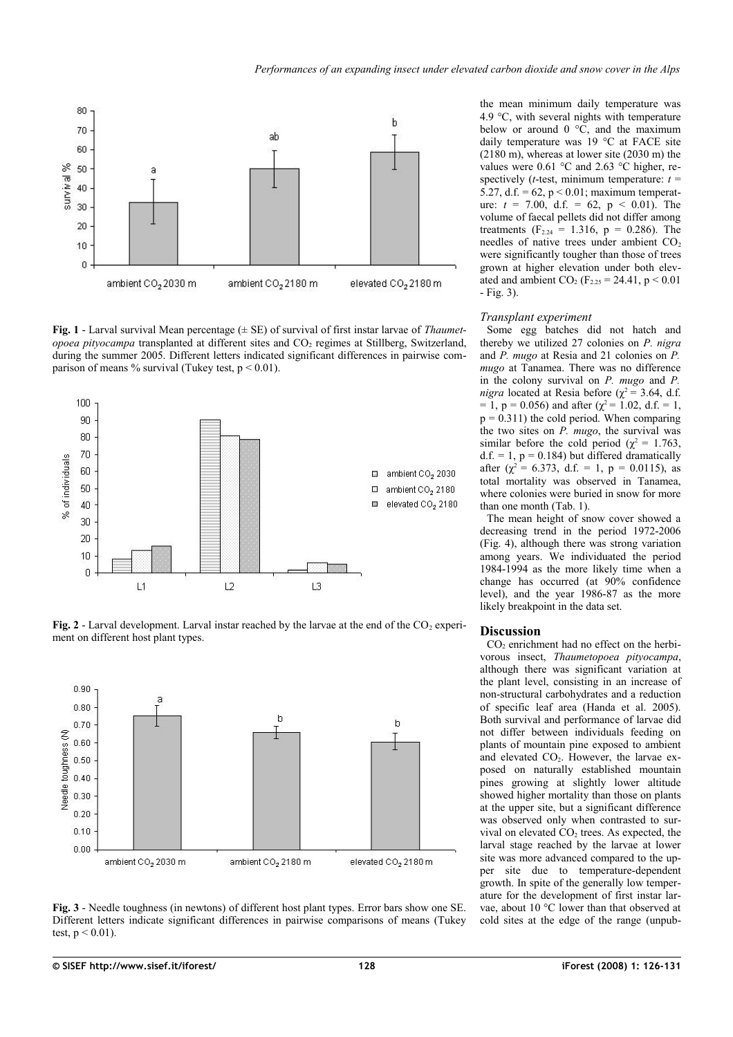

<span id="page-2-0"></span>**Fig. 1** - Larval survival Mean percentage (± SE) of survival of first instar larvae of *Thaumetopoea pityocampa* transplanted at different sites and CO<sub>2</sub> regimes at Stillberg, Switzerland, during the summer 2005. Different letters indicated significant differences in pairwise comparison of means % survival (Tukey test,  $p < 0.01$ ).



<span id="page-2-1"></span>**Fig. 2** - Larval development. Larval instar reached by the larvae at the end of the  $CO<sub>2</sub>$  experiment on different host plant types.



<span id="page-2-2"></span>**Fig. 3** - Needle toughness (in newtons) of different host plant types. Error bars show one SE. Different letters indicate significant differences in pairwise comparisons of means (Tukey test,  $p < 0.01$ ).

the mean minimum daily temperature was 4.9 °C, with several nights with temperature below or around  $0 \degree C$ , and the maximum daily temperature was 19 °C at FACE site (2180 m), whereas at lower site (2030 m) the values were 0.61 °C and 2.63 °C higher, respectively ( $t$ -test, minimum temperature:  $t =$ 5.27, d.f. =  $62$ , p < 0.01; maximum temperature:  $t = 7.00$ , d.f. = 62, p < 0.01). The volume of faecal pellets did not differ among treatments ( $F_{2,24} = 1.316$ ,  $p = 0.286$ ). The needles of native trees under ambient CO<sub>2</sub> were significantly tougher than those of trees grown at higher elevation under both elevated and ambient  $CO_2$  (F<sub>2.25</sub> = 24.41, p < 0.01 - [Fig. 3\)](#page-2-2).

#### *Transplant experiment*

Some egg batches did not hatch and thereby we utilized 27 colonies on *P. nigra* and *P. mugo* at Resia and 21 colonies on *P. mugo* at Tanamea. There was no difference in the colony survival on *P. mugo* and *P. nigra* located at Resia before ( $\chi^2$  = 3.64, d.f. = 1, p = 0.056) and after ( $\chi^2$  = 1.02, d.f. = 1,  $p = 0.311$ ) the cold period. When comparing the two sites on *P. mugo*, the survival was similar before the cold period ( $\chi^2 = 1.763$ ,  $d.f. = 1$ ,  $p = 0.184$ ) but differed dramatically after ( $\chi^2$  = 6.373, d.f. = 1, p = 0.0115), as total mortality was observed in Tanamea, where colonies were buried in snow for more than one month [\(Tab. 1\)](#page-3-1).

The mean height of snow cover showed a decreasing trend in the period 1972-2006 [\(Fig. 4\)](#page-3-0), although there was strong variation among years. We individuated the period 1984-1994 as the more likely time when a change has occurred (at 90% confidence level), and the year 1986-87 as the more likely breakpoint in the data set.

#### **Discussion**

 $CO<sub>2</sub>$  enrichment had no effect on the herbivorous insect, *Thaumetopoea pityocampa*, although there was significant variation at the plant level, consisting in an increase of non-structural carbohydrates and a reduction of specific leaf area (Handa et al. 2005). Both survival and performance of larvae did not differ between individuals feeding on plants of mountain pine exposed to ambient and elevated  $CO<sub>2</sub>$ . However, the larvae exposed on naturally established mountain pines growing at slightly lower altitude showed higher mortality than those on plants at the upper site, but a significant difference was observed only when contrasted to survival on elevated  $CO<sub>2</sub>$  trees. As expected, the larval stage reached by the larvae at lower site was more advanced compared to the upper site due to temperature-dependent growth. In spite of the generally low temperature for the development of first instar larvae, about 10 °C lower than that observed at cold sites at the edge of the range (unpub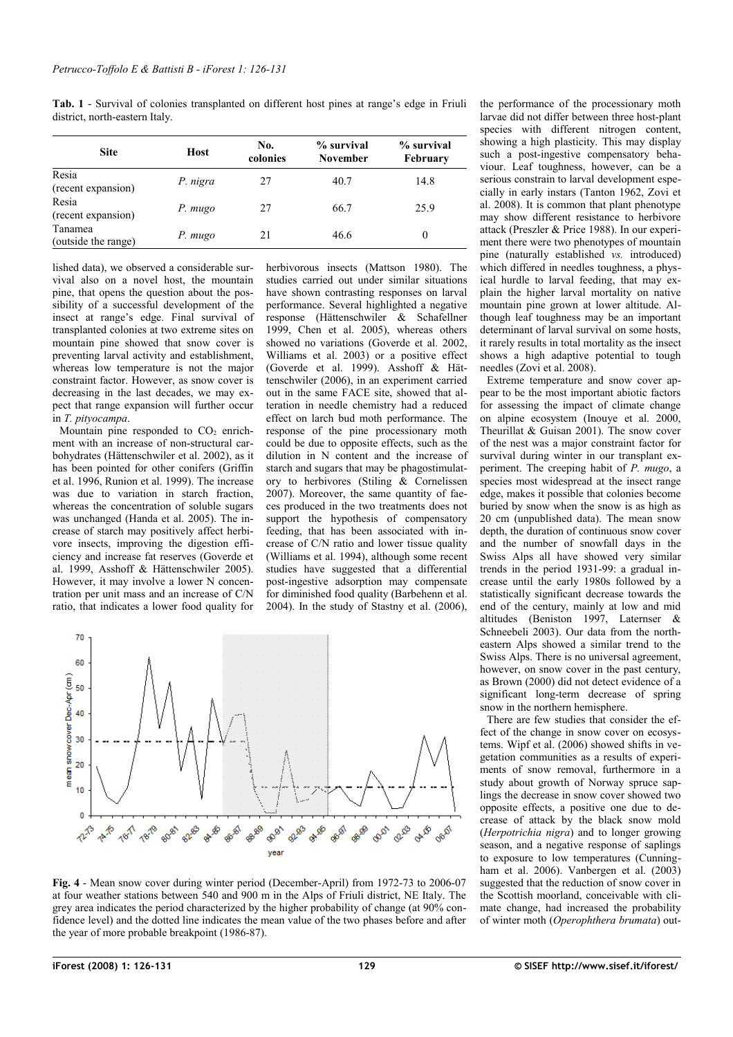<span id="page-3-1"></span>**Tab. 1** - Survival of colonies transplanted on different host pines at range's edge in Friuli district, north-eastern Italy.

| <b>Site</b>                    | Host     | No.<br>colonies | % survival<br><b>November</b> | % survival<br>February |
|--------------------------------|----------|-----------------|-------------------------------|------------------------|
| Resia<br>(recent expansion)    | P. nigra | 27              | 40.7                          | 14.8                   |
| Resia<br>(recent expansion)    | P. mugo  | 27              | 66.7                          | 25.9                   |
| Tanamea<br>(outside the range) | P. mugo  | 21              | 46.6                          |                        |

lished data), we observed a considerable survival also on a novel host, the mountain pine, that opens the question about the possibility of a successful development of the insect at range's edge. Final survival of transplanted colonies at two extreme sites on mountain pine showed that snow cover is preventing larval activity and establishment, whereas low temperature is not the major constraint factor. However, as snow cover is decreasing in the last decades, we may expect that range expansion will further occur in *T. pityocampa*.

Mountain pine responded to  $CO<sub>2</sub>$  enrichment with an increase of non-structural carbohydrates (Hättenschwiler et al. 2002), as it has been pointed for other conifers (Griffin et al. 1996, Runion et al. 1999). The increase was due to variation in starch fraction, whereas the concentration of soluble sugars was unchanged (Handa et al. 2005). The increase of starch may positively affect herbivore insects, improving the digestion efficiency and increase fat reserves (Goverde et al. 1999, Asshoff & Hättenschwiler 2005). However, it may involve a lower N concentration per unit mass and an increase of C/N ratio, that indicates a lower food quality for herbivorous insects (Mattson 1980). The studies carried out under similar situations have shown contrasting responses on larval performance. Several highlighted a negative response (Hättenschwiler & Schafellner 1999, Chen et al. 2005), whereas others showed no variations (Goverde et al. 2002, Williams et al. 2003) or a positive effect (Goverde et al. 1999). Asshoff & Hättenschwiler (2006), in an experiment carried out in the same FACE site, showed that alteration in needle chemistry had a reduced effect on larch bud moth performance. The response of the pine processionary moth could be due to opposite effects, such as the dilution in N content and the increase of starch and sugars that may be phagostimulatory to herbivores (Stiling & Cornelissen 2007). Moreover, the same quantity of faeces produced in the two treatments does not support the hypothesis of compensatory feeding, that has been associated with increase of C/N ratio and lower tissue quality (Williams et al. 1994), although some recent studies have suggested that a differential post-ingestive adsorption may compensate for diminished food quality (Barbehenn et al. 2004). In the study of Stastny et al. (2006),



<span id="page-3-0"></span>**Fig. 4** - Mean snow cover during winter period (December-April) from 1972-73 to 2006-07 at four weather stations between 540 and 900 m in the Alps of Friuli district, NE Italy. The grey area indicates the period characterized by the higher probability of change (at 90% confidence level) and the dotted line indicates the mean value of the two phases before and after the year of more probable breakpoint (1986-87).

the performance of the processionary moth larvae did not differ between three host-plant species with different nitrogen content, showing a high plasticity. This may display such a post-ingestive compensatory behaviour. Leaf toughness, however, can be a serious constrain to larval development especially in early instars (Tanton 1962, Zovi et al. 2008). It is common that plant phenotype may show different resistance to herbivore attack (Preszler & Price 1988). In our experiment there were two phenotypes of mountain pine (naturally established *vs.* introduced) which differed in needles toughness, a physical hurdle to larval feeding, that may explain the higher larval mortality on native mountain pine grown at lower altitude. Although leaf toughness may be an important determinant of larval survival on some hosts, it rarely results in total mortality as the insect shows a high adaptive potential to tough needles (Zovi et al. 2008).

Extreme temperature and snow cover appear to be the most important abiotic factors for assessing the impact of climate change on alpine ecosystem (Inouye et al. 2000, Theurillat & Guisan 2001). The snow cover of the nest was a major constraint factor for survival during winter in our transplant experiment. The creeping habit of *P. mugo*, a species most widespread at the insect range edge, makes it possible that colonies become buried by snow when the snow is as high as 20 cm (unpublished data). The mean snow depth, the duration of continuous snow cover and the number of snowfall days in the Swiss Alps all have showed very similar trends in the period 1931-99: a gradual increase until the early 1980s followed by a statistically significant decrease towards the end of the century, mainly at low and mid altitudes (Beniston 1997, Laternser & Schneebeli 2003). Our data from the northeastern Alps showed a similar trend to the Swiss Alps. There is no universal agreement, however, on snow cover in the past century, as Brown (2000) did not detect evidence of a significant long-term decrease of spring snow in the northern hemisphere.

There are few studies that consider the effect of the change in snow cover on ecosystems. Wipf et al. (2006) showed shifts in vegetation communities as a results of experiments of snow removal, furthermore in a study about growth of Norway spruce saplings the decrease in snow cover showed two opposite effects, a positive one due to decrease of attack by the black snow mold (*Herpotrichia nigra*) and to longer growing season, and a negative response of saplings to exposure to low temperatures (Cunningham et al. 2006). Vanbergen et al. (2003) suggested that the reduction of snow cover in the Scottish moorland, conceivable with climate change, had increased the probability of winter moth (*Operophthera brumata*) out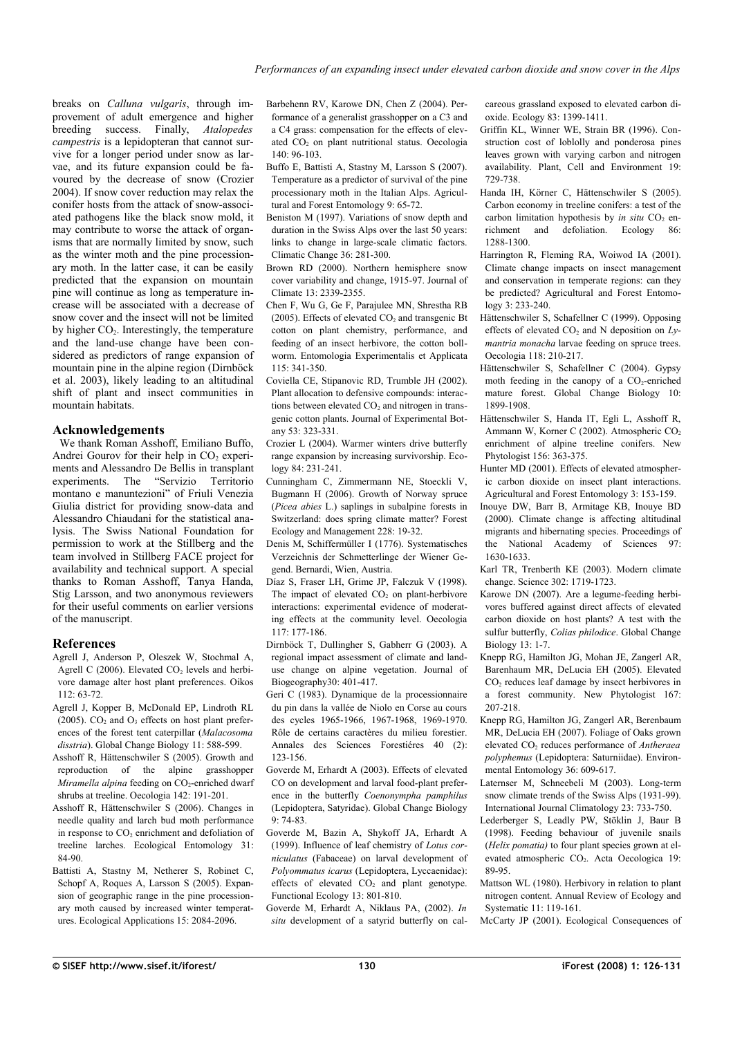breaks on *Calluna vulgaris*, through improvement of adult emergence and higher breeding success. Finally, *Atalopedes campestris* is a lepidopteran that cannot survive for a longer period under snow as larvae, and its future expansion could be favoured by the decrease of snow (Crozier 2004). If snow cover reduction may relax the conifer hosts from the attack of snow-associated pathogens like the black snow mold, it may contribute to worse the attack of organisms that are normally limited by snow, such as the winter moth and the pine processionary moth. In the latter case, it can be easily predicted that the expansion on mountain pine will continue as long as temperature increase will be associated with a decrease of snow cover and the insect will not be limited by higher  $CO<sub>2</sub>$ . Interestingly, the temperature and the land-use change have been considered as predictors of range expansion of mountain pine in the alpine region (Dirnböck et al. 2003), likely leading to an altitudinal shift of plant and insect communities in mountain habitats.

## **Acknowledgements**

We thank Roman Asshoff, Emiliano Buffo, Andrei Gourov for their help in  $CO<sub>2</sub>$  experiments and Alessandro De Bellis in transplant experiments. The "Servizio Territorio montano e manuntezioni" of Friuli Venezia Giulia district for providing snow-data and Alessandro Chiaudani for the statistical analysis. The Swiss National Foundation for permission to work at the Stillberg and the team involved in Stillberg FACE project for availability and technical support. A special thanks to Roman Asshoff, Tanya Handa, Stig Larsson, and two anonymous reviewers for their useful comments on earlier versions of the manuscript.

# **References**

- Agrell J, Anderson P, Oleszek W, Stochmal A, Agrell C (2006). Elevated  $CO<sub>2</sub>$  levels and herbivore damage alter host plant preferences. Oikos 112: 63-72.
- Agrell J, Kopper B, McDonald EP, Lindroth RL (2005).  $CO<sub>2</sub>$  and  $O<sub>3</sub>$  effects on host plant preferences of the forest tent caterpillar (*Malacosoma disstria*). Global Change Biology 11: 588-599.
- Asshoff R, Hättenschwiler S (2005). Growth and reproduction of the alpine grasshopper *Miramella alpina* feeding on CO<sub>2</sub>-enriched dwarf shrubs at treeline. Oecologia 142: 191-201.
- Asshoff R, Hättenschwiler S (2006). Changes in needle quality and larch bud moth performance in response to  $CO<sub>2</sub>$  enrichment and defoliation of treeline larches. Ecological Entomology 31: 84-90.
- Battisti A, Stastny M, Netherer S, Robinet C, Schopf A, Roques A, Larsson S (2005). Expansion of geographic range in the pine processionary moth caused by increased winter temperatures. Ecological Applications 15: 2084-2096.

Barbehenn RV, Karowe DN, Chen Z (2004). Performance of a generalist grasshopper on a C3 and a C4 grass: compensation for the effects of elevated CO<sub>2</sub> on plant nutritional status. Oecologia 140: 96-103.

- Buffo E, Battisti A, Stastny M, Larsson S (2007). Temperature as a predictor of survival of the pine processionary moth in the Italian Alps. Agricultural and Forest Entomology 9: 65-72.
- Beniston M (1997). Variations of snow depth and duration in the Swiss Alps over the last 50 years: links to change in large-scale climatic factors. Climatic Change 36: 281-300.
- Brown RD (2000). Northern hemisphere snow cover variability and change, 1915-97. Journal of Climate 13: 2339-2355.
- Chen F, Wu G, Ge F, Parajulee MN, Shrestha RB (2005). Effects of elevated  $CO<sub>2</sub>$  and transgenic Bt cotton on plant chemistry, performance, and feeding of an insect herbivore, the cotton bollworm. Entomologia Experimentalis et Applicata 115: 341-350.
- Coviella CE, Stipanovic RD, Trumble JH (2002). Plant allocation to defensive compounds: interactions between elevated  $CO<sub>2</sub>$  and nitrogen in transgenic cotton plants. Journal of Experimental Botany 53: 323-331.
- Crozier L (2004). Warmer winters drive butterfly range expansion by increasing survivorship. Ecology 84: 231-241.
- Cunningham C, Zimmermann NE, Stoeckli V, Bugmann H (2006). Growth of Norway spruce (*Picea abies* L.) saplings in subalpine forests in Switzerland: does spring climate matter? Forest Ecology and Management 228: 19-32.
- Denis M, Schiffermüller I (1776). Systematisches Verzeichnis der Schmetterlinge der Wiener Gegend. Bernardi, Wien, Austria.
- Díaz S, Fraser LH, Grime JP, Falczuk V (1998). The impact of elevated  $CO<sub>2</sub>$  on plant-herbivore interactions: experimental evidence of moderating effects at the community level. Oecologia 117: 177-186.
- Dirnböck T, Dullingher S, Gabherr G (2003). A regional impact assessment of climate and landuse change on alpine vegetation. Journal of Biogeography30: 401-417.
- Geri C (1983). Dynamique de la processionnaire du pin dans la vallée de Niolo en Corse au cours des cycles 1965-1966, 1967-1968, 1969-1970. Rôle de certains caractères du milieu forestier. Annales des Sciences Forestiéres 40 (2): 123-156.
- Goverde M, Erhardt A (2003). Effects of elevated CO on development and larval food-plant preference in the butterfly *Coenonympha pamphilus* (Lepidoptera, Satyridae). Global Change Biology 9: 74-83.
- Goverde M, Bazin A, Shykoff JA, Erhardt A (1999). Influence of leaf chemistry of *Lotus corniculatus* (Fabaceae) on larval development of *Polyommatus icarus* (Lepidoptera, Lyccaenidae): effects of elevated  $CO<sub>2</sub>$  and plant genotype. Functional Ecology 13: 801-810.
- Goverde M, Erhardt A, Niklaus PA, (2002). *In situ* development of a satyrid butterfly on cal-

careous grassland exposed to elevated carbon dioxide. Ecology 83: 1399-1411.

- Griffin KL, Winner WE, Strain BR (1996). Construction cost of loblolly and ponderosa pines leaves grown with varying carbon and nitrogen availability. Plant, Cell and Environment 19: 729-738.
- Handa IH, Körner C, Hättenschwiler S (2005). Carbon economy in treeline conifers: a test of the carbon limitation hypothesis by *in situ* CO<sub>2</sub> enrichment and defoliation. Ecology 86: 1288-1300.
- Harrington R, Fleming RA, Woiwod IA (2001). Climate change impacts on insect management and conservation in temperate regions: can they be predicted? Agricultural and Forest Entomology 3: 233-240.
- Hättenschwiler S, Schafellner C (1999). Opposing effects of elevated CO<sub>2</sub> and N deposition on Ly*mantria monacha* larvae feeding on spruce trees. Oecologia 118: 210-217.
- Hättenschwiler S, Schafellner C (2004). Gypsy moth feeding in the canopy of a  $CO<sub>2</sub>$ -enriched mature forest. Global Change Biology 10: 1899-1908.
- Hättenschwiler S, Handa IT, Egli L, Asshoff R, Ammann W, Korner C (2002). Atmospheric CO<sup>2</sup> enrichment of alpine treeline conifers. New Phytologist 156: 363-375.
- Hunter MD (2001). Effects of elevated atmospheric carbon dioxide on insect plant interactions. Agricultural and Forest Entomology 3: 153-159.
- Inouye DW, Barr B, Armitage KB, Inouye BD (2000). Climate change is affecting altitudinal migrants and hibernating species. Proceedings of the National Academy of Sciences 97: 1630-1633.
- Karl TR, Trenberth KE (2003). Modern climate change. Science 302: 1719-1723.
- Karowe DN (2007). Are a legume-feeding herbivores buffered against direct affects of elevated carbon dioxide on host plants? A test with the sulfur butterfly, *Colias philodice*. Global Change Biology 13: 1-7.
- Knepp RG, Hamilton JG, Mohan JE, Zangerl AR, Barenhaum MR, DeLucia EH (2005). Elevated  $CO<sub>2</sub>$  reduces leaf damage by insect herbivores in a forest community. New Phytologist 167: 207-218.
- Knepp RG, Hamilton JG, Zangerl AR, Berenbaum MR, DeLucia EH (2007). Foliage of Oaks grown elevated CO2 reduces performance of *Antheraea polyphemus* (Lepidoptera: Saturniidae). Environmental Entomology 36: 609-617.
- Laternser M, Schneebeli M (2003). Long-term snow climate trends of the Swiss Alps (1931-99). International Journal Climatology 23: 733-750.
- Lederberger S, Leadly PW, Stöklin J, Baur B (1998). Feeding behaviour of juvenile snails (*Helix pomatia)* to four plant species grown at elevated atmospheric CO<sub>2</sub>. Acta Oecologica 19: 89-95.
- Mattson WL (1980). Herbivory in relation to plant nitrogen content. Annual Review of Ecology and Systematic 11: 119-161.
- McCarty JP (2001). Ecological Consequences of